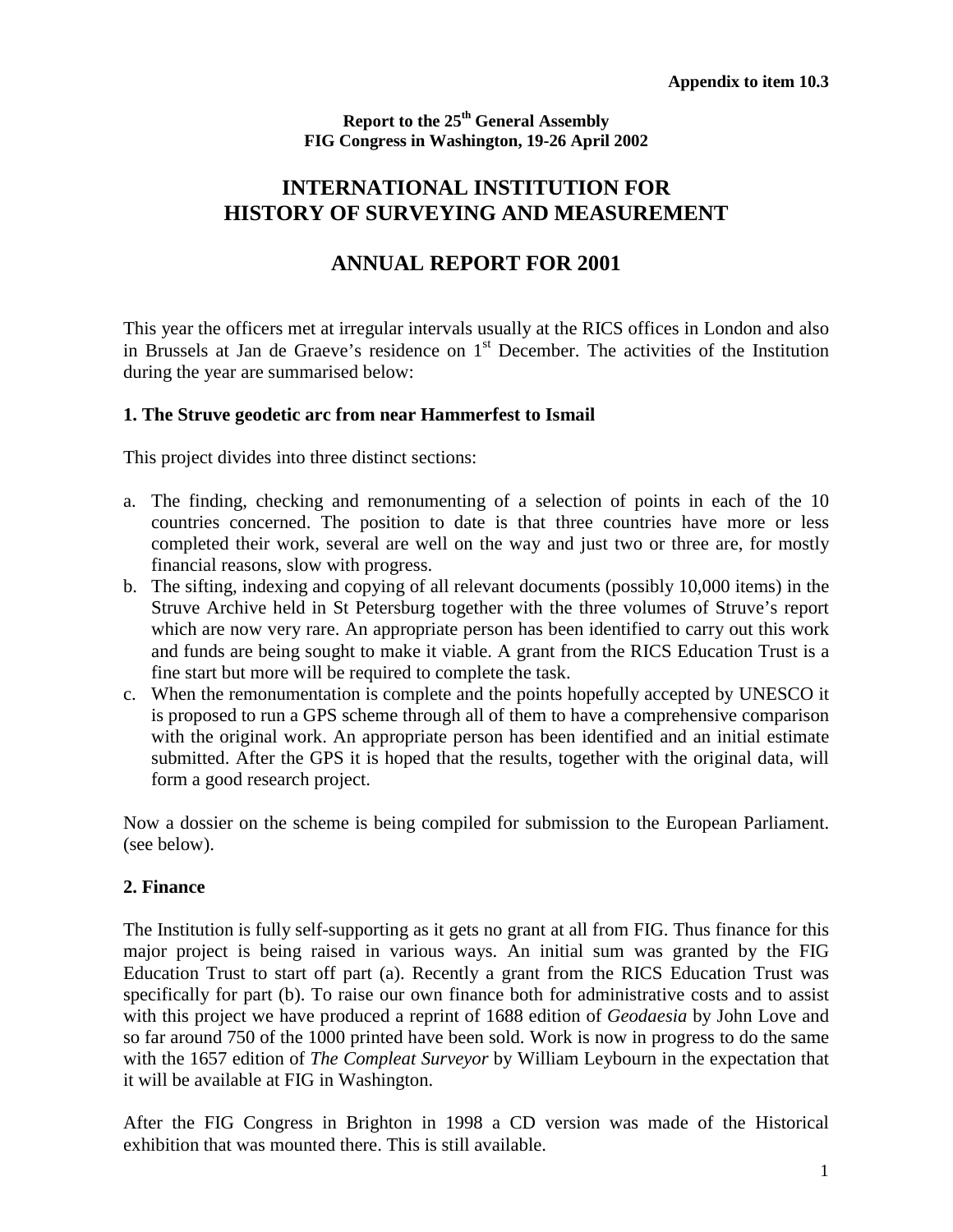**Report to the 25th General Assembly FIG Congress in Washington, 19-26 April 2002**

# **INTERNATIONAL INSTITUTION FOR HISTORY OF SURVEYING AND MEASUREMENT**

# **ANNUAL REPORT FOR 2001**

This year the officers met at irregular intervals usually at the RICS offices in London and also in Brussels at Jan de Graeve's residence on 1st December. The activities of the Institution during the year are summarised below:

#### **1. The Struve geodetic arc from near Hammerfest to Ismail**

This project divides into three distinct sections:

- a. The finding, checking and remonumenting of a selection of points in each of the 10 countries concerned. The position to date is that three countries have more or less completed their work, several are well on the way and just two or three are, for mostly financial reasons, slow with progress.
- b. The sifting, indexing and copying of all relevant documents (possibly 10,000 items) in the Struve Archive held in St Petersburg together with the three volumes of Struve's report which are now very rare. An appropriate person has been identified to carry out this work and funds are being sought to make it viable. A grant from the RICS Education Trust is a fine start but more will be required to complete the task.
- c. When the remonumentation is complete and the points hopefully accepted by UNESCO it is proposed to run a GPS scheme through all of them to have a comprehensive comparison with the original work. An appropriate person has been identified and an initial estimate submitted. After the GPS it is hoped that the results, together with the original data, will form a good research project.

Now a dossier on the scheme is being compiled for submission to the European Parliament. (see below).

#### **2. Finance**

The Institution is fully self-supporting as it gets no grant at all from FIG. Thus finance for this major project is being raised in various ways. An initial sum was granted by the FIG Education Trust to start off part (a). Recently a grant from the RICS Education Trust was specifically for part (b). To raise our own finance both for administrative costs and to assist with this project we have produced a reprint of 1688 edition of *Geodaesia* by John Love and so far around 750 of the 1000 printed have been sold. Work is now in progress to do the same with the 1657 edition of *The Compleat Surveyor* by William Leybourn in the expectation that it will be available at FIG in Washington.

After the FIG Congress in Brighton in 1998 a CD version was made of the Historical exhibition that was mounted there. This is still available.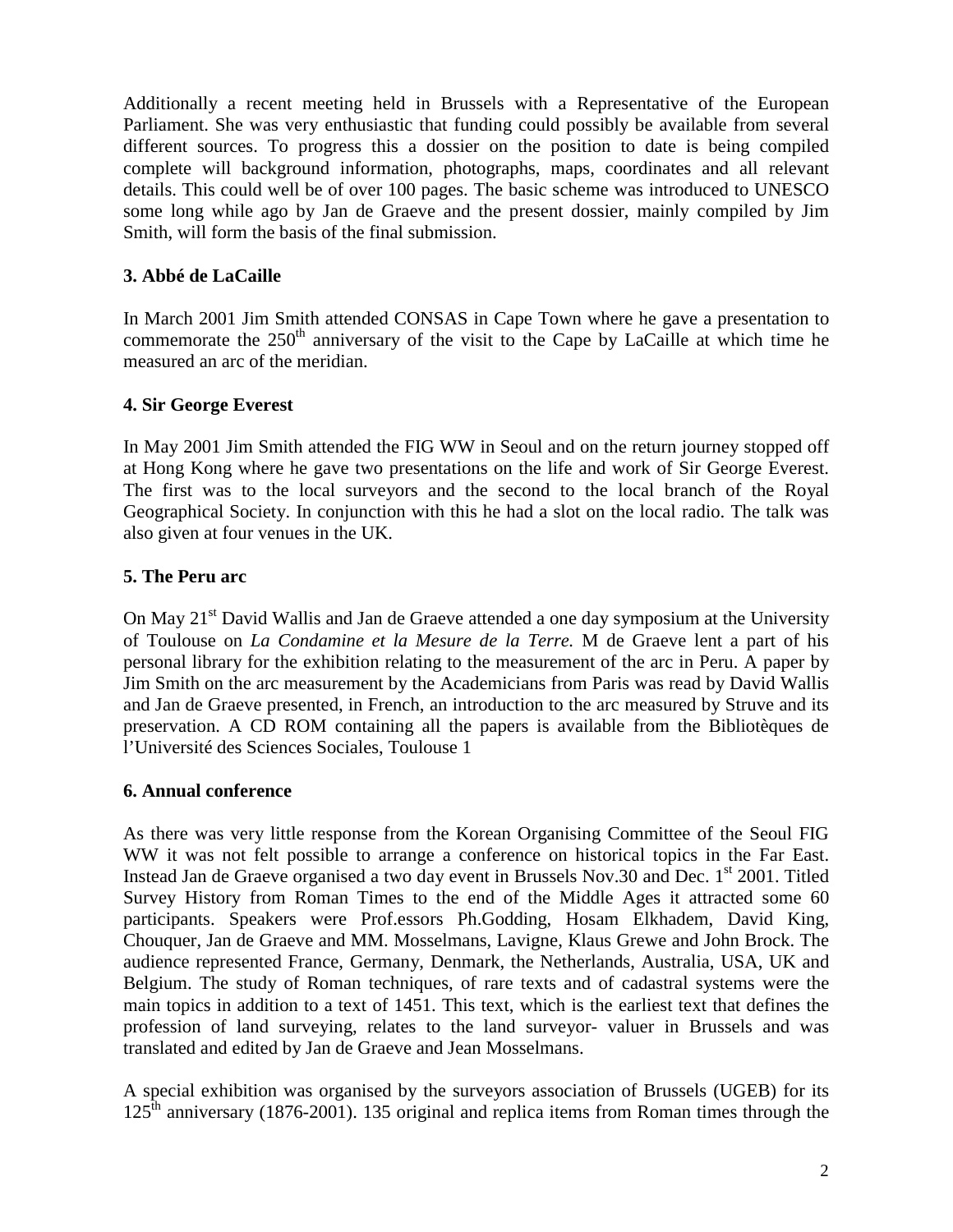Additionally a recent meeting held in Brussels with a Representative of the European Parliament. She was very enthusiastic that funding could possibly be available from several different sources. To progress this a dossier on the position to date is being compiled complete will background information, photographs, maps, coordinates and all relevant details. This could well be of over 100 pages. The basic scheme was introduced to UNESCO some long while ago by Jan de Graeve and the present dossier, mainly compiled by Jim Smith, will form the basis of the final submission.

#### **3. Abbé de LaCaille**

In March 2001 Jim Smith attended CONSAS in Cape Town where he gave a presentation to commemorate the  $250<sup>th</sup>$  anniversary of the visit to the Cape by LaCaille at which time he measured an arc of the meridian.

#### **4. Sir George Everest**

In May 2001 Jim Smith attended the FIG WW in Seoul and on the return journey stopped off at Hong Kong where he gave two presentations on the life and work of Sir George Everest. The first was to the local surveyors and the second to the local branch of the Royal Geographical Society. In conjunction with this he had a slot on the local radio. The talk was also given at four venues in the UK.

#### **5. The Peru arc**

On May 21<sup>st</sup> David Wallis and Jan de Graeve attended a one day symposium at the University of Toulouse on *La Condamine et la Mesure de la Terre.* M de Graeve lent a part of his personal library for the exhibition relating to the measurement of the arc in Peru. A paper by Jim Smith on the arc measurement by the Academicians from Paris was read by David Wallis and Jan de Graeve presented, in French, an introduction to the arc measured by Struve and its preservation. A CD ROM containing all the papers is available from the Bibliotèques de l'Université des Sciences Sociales, Toulouse 1

#### **6. Annual conference**

As there was very little response from the Korean Organising Committee of the Seoul FIG WW it was not felt possible to arrange a conference on historical topics in the Far East. Instead Jan de Graeve organised a two day event in Brussels Nov.30 and Dec. 1<sup>st</sup> 2001. Titled Survey History from Roman Times to the end of the Middle Ages it attracted some 60 participants. Speakers were Prof.essors Ph.Godding, Hosam Elkhadem, David King, Chouquer, Jan de Graeve and MM. Mosselmans, Lavigne, Klaus Grewe and John Brock. The audience represented France, Germany, Denmark, the Netherlands, Australia, USA, UK and Belgium. The study of Roman techniques, of rare texts and of cadastral systems were the main topics in addition to a text of 1451. This text, which is the earliest text that defines the profession of land surveying, relates to the land surveyor- valuer in Brussels and was translated and edited by Jan de Graeve and Jean Mosselmans.

A special exhibition was organised by the surveyors association of Brussels (UGEB) for its  $125<sup>th</sup>$  anniversary (1876-2001). 135 original and replica items from Roman times through the